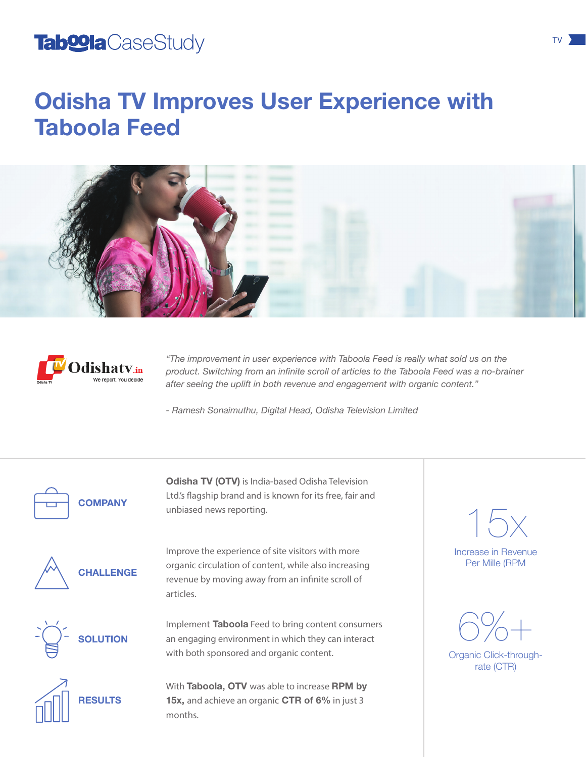#### Tab<sup>o</sup>la CaseStudy **Tabolis CaseStudy TV**

## Odisha TV Improves User Experience with Taboola Feed





*"The improvement in user experience with Taboola Feed is really what sold us on the product. Switching from an infinite scroll of articles to the Taboola Feed was a no-brainer after seeing the uplift in both revenue and engagement with organic content."* 

*- Ramesh Sonaimuthu, Digital Head, Odisha Television Limited*



**COMPANY** 

Odisha TV (OTV) is India-based Odisha Television Ltd.'s flagship brand and is known for its free, fair and unbiased news reporting.



CHALLENGE



Improve the experience of site visitors with more organic circulation of content, while also increasing revenue by moving away from an infinite scroll of articles.

Implement Taboola Feed to bring content consumers an engaging environment in which they can interact with both sponsored and organic content.



With Taboola, OTV was able to increase RPM by 15x, and achieve an organic CTR of 6% in just 3 months.

Increase in Revenue Per Mille (RPM 15x



Organic Click-throughrate (CTR)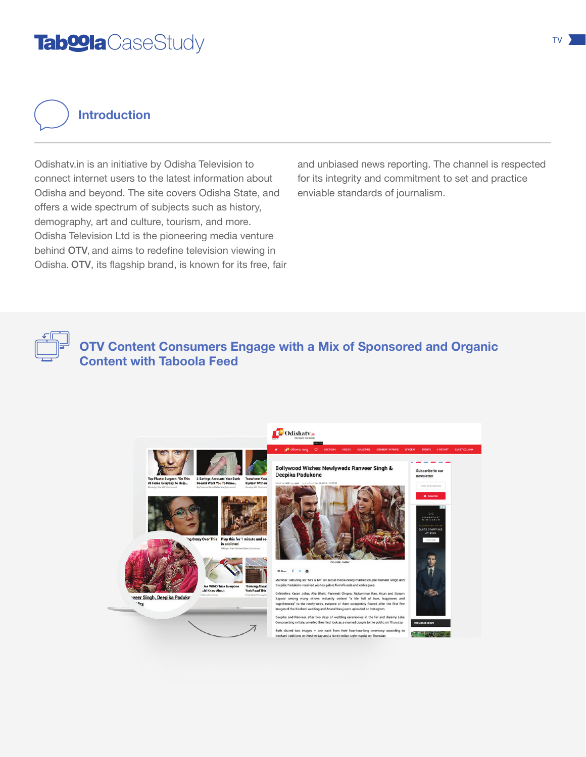### Tab<sup>o</sup>la CaseStudy **Tabolis CaseStudy TV**

Introduction

Odishatv.in is an initiative by Odisha Television to connect internet users to the latest information about Odisha and beyond. The site covers Odisha State, and offers a wide spectrum of subjects such as history, demography, art and culture, tourism, and more. Odisha Television Ltd is the pioneering media venture behind OTV, and aims to redefine television viewing in Odisha. OTV, its flagship brand, is known for its free, fair and unbiased news reporting. The channel is respected for its integrity and commitment to set and practice enviable standards of journalism.

OTV Content Consumers Engage with a Mix of Sponsored and Organic Content with Taboola Feed